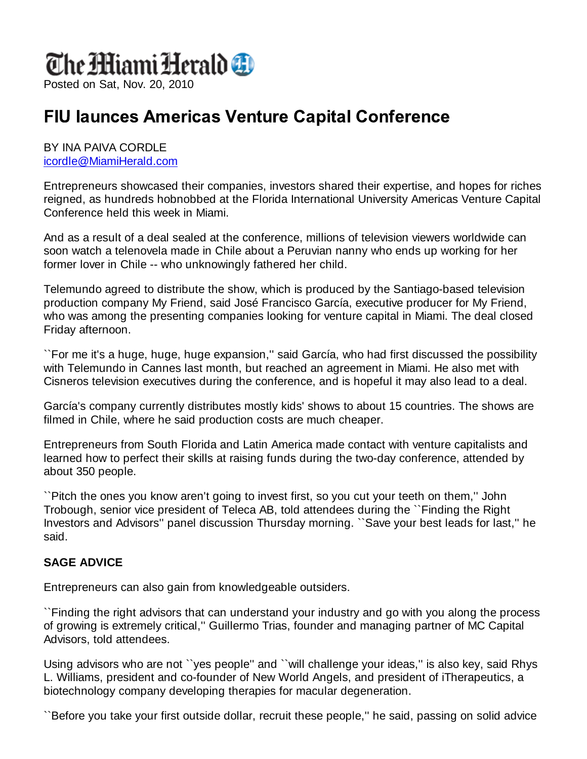# The MiamiHerald **D**

Posted on Sat, Nov. 20, 2010

# **FIU launces Americas Venture Capital Conference**

#### BY INA PAIVA CORDLE icordle@MiamiHerald.com

Entrepreneurs showcased their companies, investors shared their expertise, and hopes for riches reigned, as hundreds hobnobbed at the Florida International University Americas Venture Capital Conference held this week in Miami.

And as a result of a deal sealed at the conference, millions of television viewers worldwide can soon watch a telenovela made in Chile about a Peruvian nanny who ends up working for her former lover in Chile -- who unknowingly fathered her child.

Telemundo agreed to distribute the show, which is produced by the Santiago-based television production company My Friend, said José Francisco García, executive producer for My Friend, who was among the presenting companies looking for venture capital in Miami. The deal closed Friday afternoon.

``For me it's a huge, huge, huge expansion,'' said García, who had first discussed the possibility with Telemundo in Cannes last month, but reached an agreement in Miami. He also met with Cisneros television executives during the conference, and is hopeful it may also lead to a deal.

García's company currently distributes mostly kids' shows to about 15 countries. The shows are filmed in Chile, where he said production costs are much cheaper.

Entrepreneurs from South Florida and Latin America made contact with venture capitalists and learned how to perfect their skills at raising funds during the two-day conference, attended by about 350 people.

``Pitch the ones you know aren't going to invest first, so you cut your teeth on them,'' John Trobough, senior vice president of Teleca AB, told attendees during the ``Finding the Right Investors and Advisors'' panel discussion Thursday morning. ``Save your best leads for last,'' he said.

### **SAGE ADVICE**

Entrepreneurs can also gain from knowledgeable outsiders.

``Finding the right advisors that can understand your industry and go with you along the process of growing is extremely critical,'' Guillermo Trias, founder and managing partner of MC Capital Advisors, told attendees.

Using advisors who are not ``yes people'' and ``will challenge your ideas,'' is also key, said Rhys L. Williams, president and co-founder of New World Angels, and president of iTherapeutics, a biotechnology company developing therapies for macular degeneration.

``Before you take your first outside dollar, recruit these people,'' he said, passing on solid advice